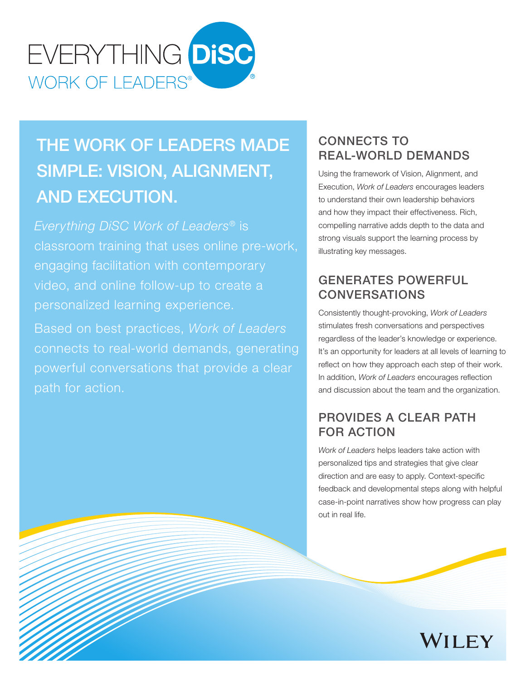

# THE WORK OF LEADERS MADE SIMPLE: VISION, ALIGNMENT, AND EXECUTION.

*Everything DiSC Work of Leaders®* is classroom training that uses online pre-work, engaging facilitation with contemporary video, and online follow-up to create a personalized learning experience.

Based on best practices, *Work of Leaders*  connects to real-world demands, generating powerful conversations that provide a clear path for action.

## CONNECTS TO REAL-WORLD DEMANDS

Using the framework of Vision, Alignment, and Execution, *Work of Leaders* encourages leaders to understand their own leadership behaviors and how they impact their effectiveness. Rich, compelling narrative adds depth to the data and strong visuals support the learning process by illustrating key messages.

## GENERATES POWERFUL CONVERSATIONS

Consistently thought-provoking, *Work of Leaders* stimulates fresh conversations and perspectives regardless of the leader's knowledge or experience. It's an opportunity for leaders at all levels of learning to reflect on how they approach each step of their work. In addition, *Work of Leaders* encourages reflection and discussion about the team and the organization.

## PROVIDES A CLEAR PATH FOR ACTION

*Work of Leaders* helps leaders take action with personalized tips and strategies that give clear direction and are easy to apply. Context-specific feedback and developmental steps along with helpful case-in-point narratives show how progress can play out in real life.